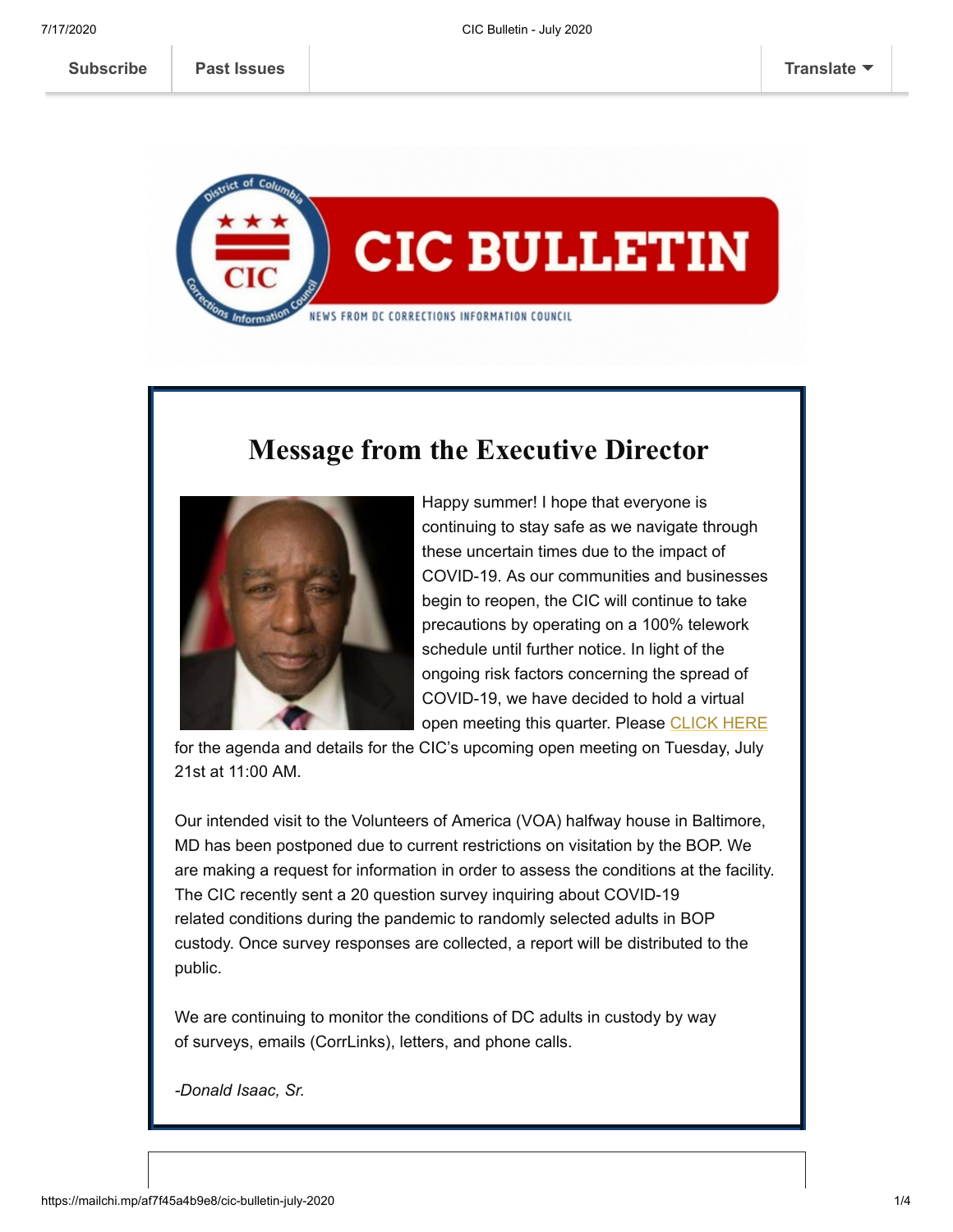

## **Message from the Executive Director**



Happy summer! I hope that everyone is continuing to stay safe as we navigate through these uncertain times due to the impact of COVID-19. As our communities and businesses begin to reopen, the CIC will continue to take precautions by operating on a 100% telework schedule until further notice. In light of the ongoing risk factors concerning the spread of COVID-19, we have decided to hold a virtual open meeting this quarter. Please [CLICK HERE](https://cic.dc.gov/event/cic-july-open-meeting-2020)

for the agenda and details for the CIC's upcoming open meeting on Tuesday, July 21st at 11:00 AM.

Our intended visit to the Volunteers of America (VOA) halfway house in Baltimore, MD has been postponed due to current restrictions on visitation by the BOP. We are making a request for information in order to assess the conditions at the facility. The CIC recently sent a 20 question survey inquiring about COVID-19 related conditions during the pandemic to randomly selected adults in BOP custody. Once survey responses are collected, a report will be distributed to the public.

We are continuing to monitor the conditions of DC adults in custody by way of surveys, emails (CorrLinks), letters, and phone calls.

*-Donald Isaac, Sr.*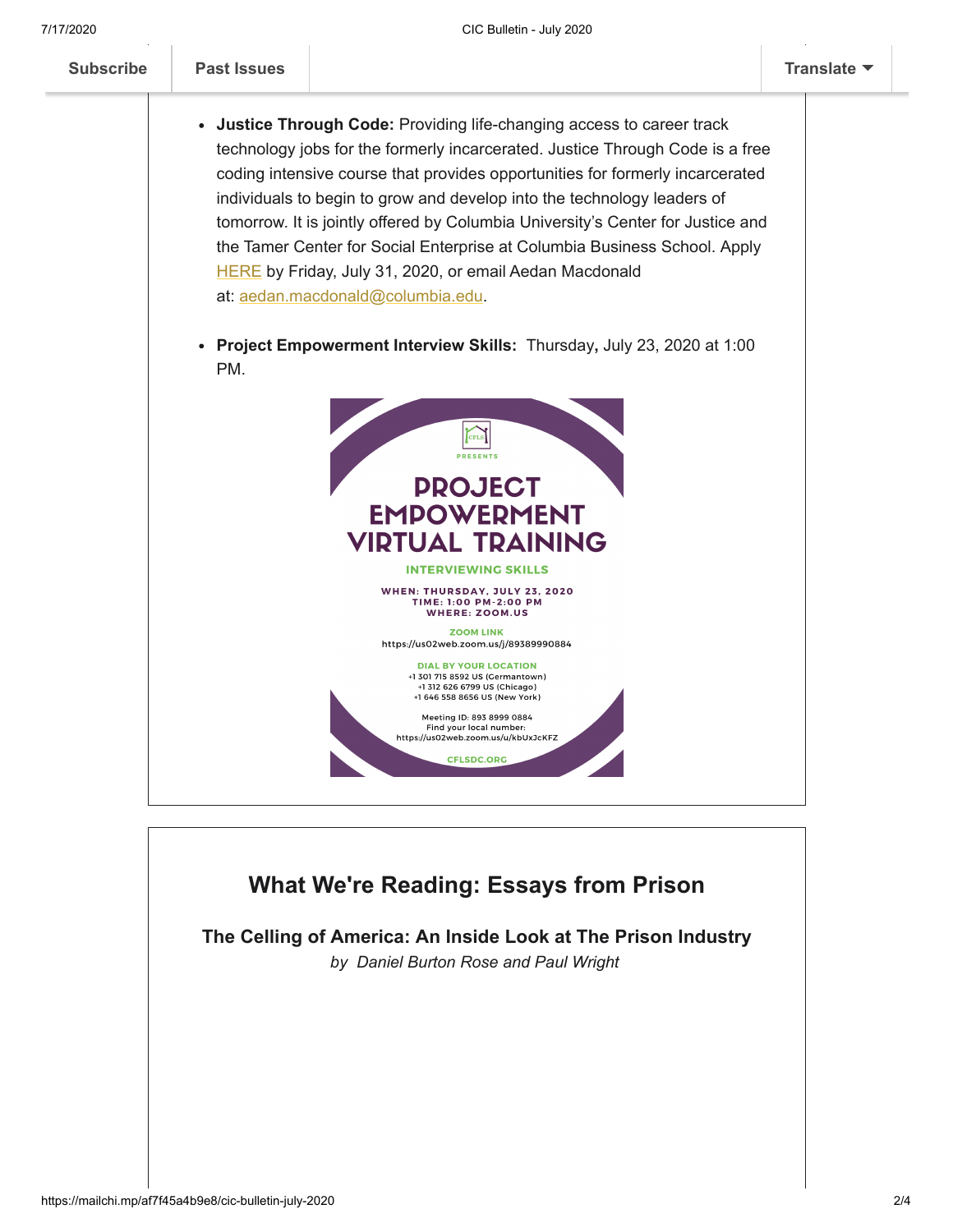

## **What We're Reading: Essays from Prison**

**The Celling of America: An Inside Look at The Prison Industry** *by Daniel Burton Rose and Paul Wright*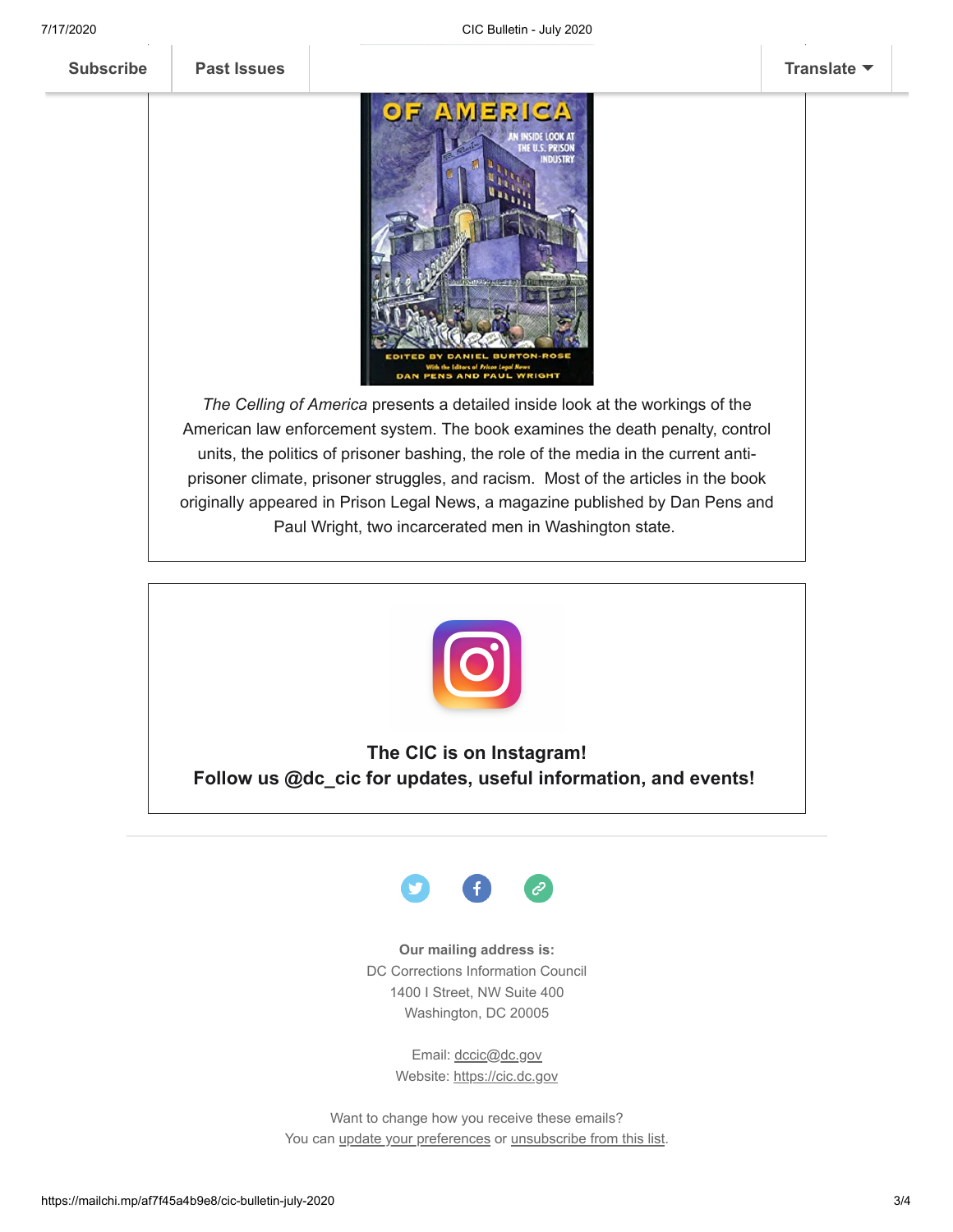

*The Celling of America* presents a detailed inside look at the workings of the American law enforcement system. The book examines the death penalty, control units, the politics of prisoner bashing, the role of the media in the current antiprisoner climate, prisoner struggles, and racism. Most of the articles in the book originally appeared in Prison Legal News, a magazine published by Dan Pens and Paul Wright, two incarcerated men in Washington state.



**The CIC is on Instagram! Follow us @dc\_cic for updates, useful information, and events!** 



**Our mailing address is:** DC Corrections Information Council 1400 I Street, NW Suite 400 Washington, DC 20005

> Email: [dccic@dc.gov](mailto:https://cic.dc.gov/) Website: [https://cic.dc.gov](https://cic.dc.gov/)

Want to change how you receive these emails? You can [update your preferences](https://cic.us14.list-manage.com/profile?u=bdc24a13dbc7ad8bb87aa8081&id=d90aa0da6e&e=[UNIQID]) or [unsubscribe from this list](https://cic.us14.list-manage.com/unsubscribe?u=bdc24a13dbc7ad8bb87aa8081&id=d90aa0da6e&e=[UNIQID]&c=68c7d6cd92).